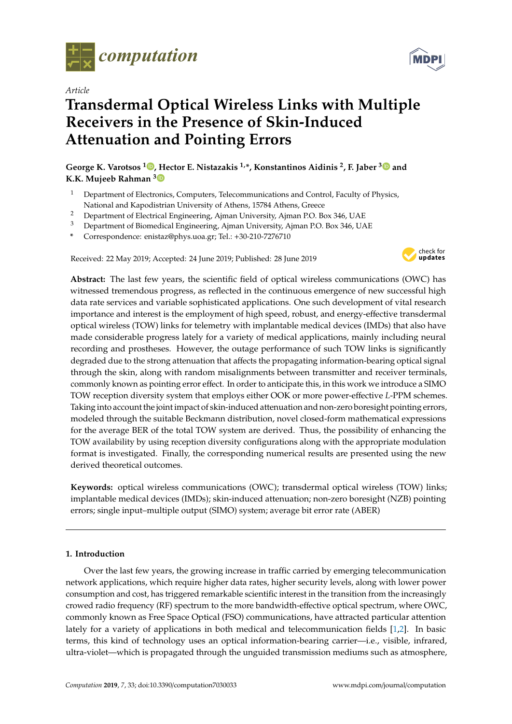

*Article*

# **Transdermal Optical Wireless Links with Multiple Receivers in the Presence of Skin-Induced Attenuation and Pointing Errors**

**George K. Varotsos <sup>1</sup> , Hector E. Nistazakis 1,\*, Konstantinos Aidinis <sup>2</sup> , F. Jaber <sup>3</sup> and K.K. Mujeeb Rahman <sup>3</sup>**

- <sup>1</sup> Department of Electronics, Computers, Telecommunications and Control, Faculty of Physics, National and Kapodistrian University of Athens, 15784 Athens, Greece
- <sup>2</sup> Department of Electrical Engineering, Ajman University, Ajman P.O. Box 346, UAE
- <sup>3</sup> Department of Biomedical Engineering, Ajman University, Ajman P.O. Box 346, UAE
- **\*** Correspondence: enistaz@phys.uoa.gr; Tel.: +30-210-7276710

Received: 22 May 2019; Accepted: 24 June 2019; Published: 28 June 2019



**Abstract:** The last few years, the scientific field of optical wireless communications (OWC) has witnessed tremendous progress, as reflected in the continuous emergence of new successful high data rate services and variable sophisticated applications. One such development of vital research importance and interest is the employment of high speed, robust, and energy-effective transdermal optical wireless (TOW) links for telemetry with implantable medical devices (IMDs) that also have made considerable progress lately for a variety of medical applications, mainly including neural recording and prostheses. However, the outage performance of such TOW links is significantly degraded due to the strong attenuation that affects the propagating information-bearing optical signal through the skin, along with random misalignments between transmitter and receiver terminals, commonly known as pointing error effect. In order to anticipate this, in this work we introduce a SIMO TOW reception diversity system that employs either OOK or more power-effective *L*-PPM schemes. Taking into account the joint impact of skin-induced attenuation and non-zero boresight pointing errors, modeled through the suitable Beckmann distribution, novel closed-form mathematical expressions for the average BER of the total TOW system are derived. Thus, the possibility of enhancing the TOW availability by using reception diversity configurations along with the appropriate modulation format is investigated. Finally, the corresponding numerical results are presented using the new derived theoretical outcomes.

**Keywords:** optical wireless communications (OWC); transdermal optical wireless (TOW) links; implantable medical devices (IMDs); skin-induced attenuation; non-zero boresight (NZB) pointing errors; single input–multiple output (SIMO) system; average bit error rate (ABER)

# **1. Introduction**

Over the last few years, the growing increase in traffic carried by emerging telecommunication network applications, which require higher data rates, higher security levels, along with lower power consumption and cost, has triggered remarkable scientific interest in the transition from the increasingly crowed radio frequency (RF) spectrum to the more bandwidth-effective optical spectrum, where OWC, commonly known as Free Space Optical (FSO) communications, have attracted particular attention lately for a variety of applications in both medical and telecommunication fields [1,2]. In basic terms, this kind of technology uses an optical information-bearing carrier—i.e., visible, infrared, ultra-violet—which is propagated through the unguided transmission mediums such as atmosphere,

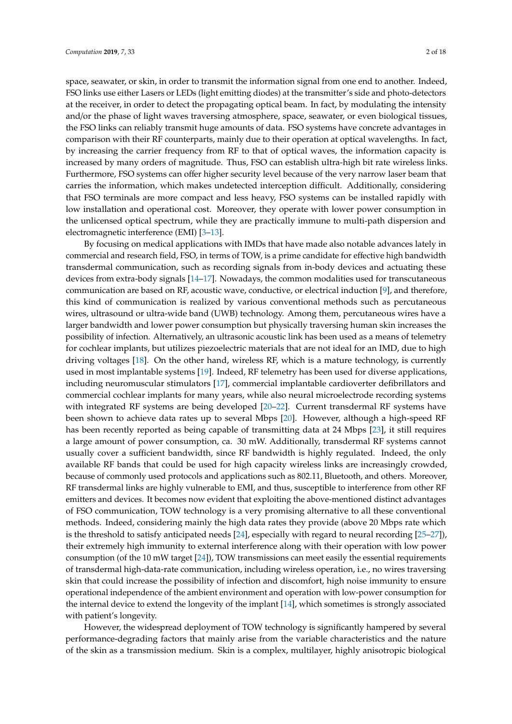space, seawater, or skin, in order to transmit the information signal from one end to another. Indeed, FSO links use either Lasers or LEDs (light emitting diodes) at the transmitter's side and photo-detectors at the receiver, in order to detect the propagating optical beam. In fact, by modulating the intensity and/or the phase of light waves traversing atmosphere, space, seawater, or even biological tissues, the FSO links can reliably transmit huge amounts of data. FSO systems have concrete advantages in comparison with their RF counterparts, mainly due to their operation at optical wavelengths. In fact, by increasing the carrier frequency from RF to that of optical waves, the information capacity is increased by many orders of magnitude. Thus, FSO can establish ultra-high bit rate wireless links. Furthermore, FSO systems can offer higher security level because of the very narrow laser beam that carries the information, which makes undetected interception difficult. Additionally, considering that FSO terminals are more compact and less heavy, FSO systems can be installed rapidly with low installation and operational cost. Moreover, they operate with lower power consumption in the unlicensed optical spectrum, while they are practically immune to multi-path dispersion and electromagnetic interference (EMI) [3–13].

By focusing on medical applications with IMDs that have made also notable advances lately in commercial and research field, FSO, in terms of TOW, is a prime candidate for effective high bandwidth transdermal communication, such as recording signals from in-body devices and actuating these devices from extra-body signals [14–17]. Nowadays, the common modalities used for transcutaneous communication are based on RF, acoustic wave, conductive, or electrical induction [9], and therefore, this kind of communication is realized by various conventional methods such as percutaneous wires, ultrasound or ultra-wide band (UWB) technology. Among them, percutaneous wires have a larger bandwidth and lower power consumption but physically traversing human skin increases the possibility of infection. Alternatively, an ultrasonic acoustic link has been used as a means of telemetry for cochlear implants, but utilizes piezoelectric materials that are not ideal for an IMD, due to high driving voltages [18]. On the other hand, wireless RF, which is a mature technology, is currently used in most implantable systems [19]. Indeed, RF telemetry has been used for diverse applications, including neuromuscular stimulators [17], commercial implantable cardioverter defibrillators and commercial cochlear implants for many years, while also neural microelectrode recording systems with integrated RF systems are being developed [20–22]. Current transdermal RF systems have been shown to achieve data rates up to several Mbps [20]. However, although a high-speed RF has been recently reported as being capable of transmitting data at 24 Mbps [23], it still requires a large amount of power consumption, ca. 30 mW. Additionally, transdermal RF systems cannot usually cover a sufficient bandwidth, since RF bandwidth is highly regulated. Indeed, the only available RF bands that could be used for high capacity wireless links are increasingly crowded, because of commonly used protocols and applications such as 802.11, Bluetooth, and others. Moreover, RF transdermal links are highly vulnerable to EMI, and thus, susceptible to interference from other RF emitters and devices. It becomes now evident that exploiting the above-mentioned distinct advantages of FSO communication, TOW technology is a very promising alternative to all these conventional methods. Indeed, considering mainly the high data rates they provide (above 20 Mbps rate which is the threshold to satisfy anticipated needs [24], especially with regard to neural recording [25–27]), their extremely high immunity to external interference along with their operation with low power consumption (of the 10 mW target [24]), TOW transmissions can meet easily the essential requirements of transdermal high-data-rate communication, including wireless operation, i.e., no wires traversing skin that could increase the possibility of infection and discomfort, high noise immunity to ensure operational independence of the ambient environment and operation with low-power consumption for the internal device to extend the longevity of the implant [14], which sometimes is strongly associated with patient's longevity.

However, the widespread deployment of TOW technology is significantly hampered by several performance-degrading factors that mainly arise from the variable characteristics and the nature of the skin as a transmission medium. Skin is a complex, multilayer, highly anisotropic biological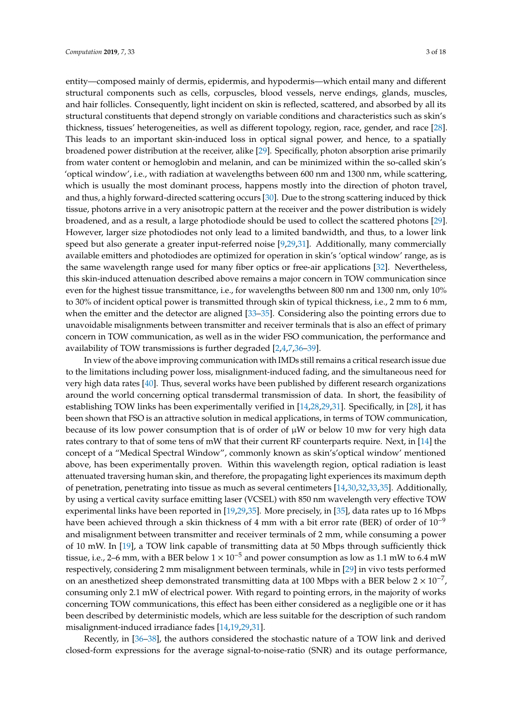entity—composed mainly of dermis, epidermis, and hypodermis—which entail many and different structural components such as cells, corpuscles, blood vessels, nerve endings, glands, muscles, and hair follicles. Consequently, light incident on skin is reflected, scattered, and absorbed by all its structural constituents that depend strongly on variable conditions and characteristics such as skin's thickness, tissues' heterogeneities, as well as different topology, region, race, gender, and race [28]. This leads to an important skin-induced loss in optical signal power, and hence, to a spatially broadened power distribution at the receiver, alike [29]. Specifically, photon absorption arise primarily from water content or hemoglobin and melanin, and can be minimized within the so-called skin's 'optical window', i.e., with radiation at wavelengths between 600 nm and 1300 nm, while scattering, which is usually the most dominant process, happens mostly into the direction of photon travel, and thus, a highly forward-directed scattering occurs [30]. Due to the strong scattering induced by thick tissue, photons arrive in a very anisotropic pattern at the receiver and the power distribution is widely broadened, and as a result, a large photodiode should be used to collect the scattered photons [29]. However, larger size photodiodes not only lead to a limited bandwidth, and thus, to a lower link speed but also generate a greater input-referred noise [9,29,31]. Additionally, many commercially available emitters and photodiodes are optimized for operation in skin's 'optical window' range, as is the same wavelength range used for many fiber optics or free-air applications [32]. Nevertheless, this skin-induced attenuation described above remains a major concern in TOW communication since even for the highest tissue transmittance, i.e., for wavelengths between 800 nm and 1300 nm, only 10% to 30% of incident optical power is transmitted through skin of typical thickness, i.e., 2 mm to 6 mm, when the emitter and the detector are aligned [33–35]. Considering also the pointing errors due to unavoidable misalignments between transmitter and receiver terminals that is also an effect of primary concern in TOW communication, as well as in the wider FSO communication, the performance and availability of TOW transmissions is further degraded [2,4,7,36–39].

In view of the above improving communication with IMDs still remains a critical research issue due to the limitations including power loss, misalignment-induced fading, and the simultaneous need for very high data rates [40]. Thus, several works have been published by different research organizations around the world concerning optical transdermal transmission of data. In short, the feasibility of establishing TOW links has been experimentally verified in [14,28,29,31]. Specifically, in [28], it has been shown that FSO is an attractive solution in medical applications, in terms of TOW communication, because of its low power consumption that is of order of  $\mu$ W or below 10 mw for very high data rates contrary to that of some tens of mW that their current RF counterparts require. Next, in [14] the concept of a "Medical Spectral Window", commonly known as skin's'optical window' mentioned above, has been experimentally proven. Within this wavelength region, optical radiation is least attenuated traversing human skin, and therefore, the propagating light experiences its maximum depth of penetration, penetrating into tissue as much as several centimeters [14,30,32,33,35]. Additionally, by using a vertical cavity surface emitting laser (VCSEL) with 850 nm wavelength very effective TOW experimental links have been reported in [19,29,35]. More precisely, in [35], data rates up to 16 Mbps have been achieved through a skin thickness of 4 mm with a bit error rate (BER) of order of  $10^{-9}$ and misalignment between transmitter and receiver terminals of 2 mm, while consuming a power of 10 mW. In [19], a TOW link capable of transmitting data at 50 Mbps through sufficiently thick tissue, i.e., 2–6 mm, with a BER below  $1 \times 10^{-5}$  and power consumption as low as 1.1 mW to 6.4 mW respectively, considering 2 mm misalignment between terminals, while in [29] in vivo tests performed on an anesthetized sheep demonstrated transmitting data at 100 Mbps with a BER below 2  $\times$  10<sup>-7</sup>, consuming only 2.1 mW of electrical power. With regard to pointing errors, in the majority of works concerning TOW communications, this effect has been either considered as a negligible one or it has been described by deterministic models, which are less suitable for the description of such random misalignment-induced irradiance fades [14,19,29,31].

Recently, in [36–38], the authors considered the stochastic nature of a TOW link and derived closed-form expressions for the average signal-to-noise-ratio (SNR) and its outage performance,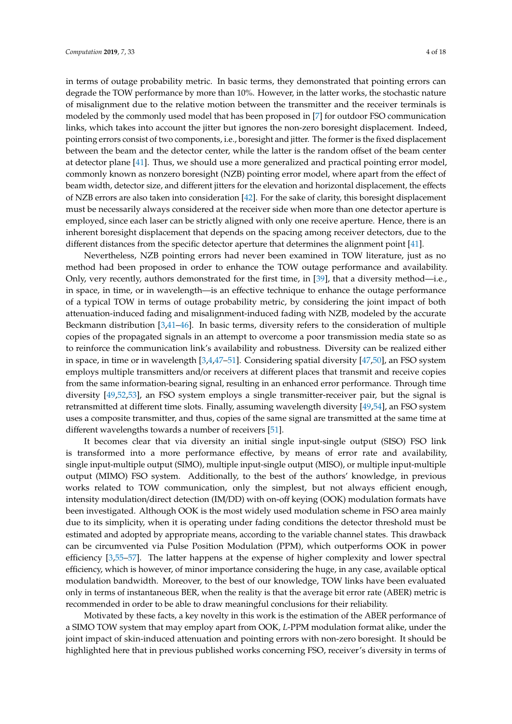in terms of outage probability metric. In basic terms, they demonstrated that pointing errors can degrade the TOW performance by more than 10%. However, in the latter works, the stochastic nature of misalignment due to the relative motion between the transmitter and the receiver terminals is modeled by the commonly used model that has been proposed in [7] for outdoor FSO communication links, which takes into account the jitter but ignores the non-zero boresight displacement. Indeed, pointing errors consist of two components, i.e., boresight and jitter. The former is the fixed displacement between the beam and the detector center, while the latter is the random offset of the beam center at detector plane [41]. Thus, we should use a more generalized and practical pointing error model, commonly known as nonzero boresight (NZB) pointing error model, where apart from the effect of beam width, detector size, and different jitters for the elevation and horizontal displacement, the effects of NZB errors are also taken into consideration [42]. For the sake of clarity, this boresight displacement must be necessarily always considered at the receiver side when more than one detector aperture is employed, since each laser can be strictly aligned with only one receive aperture. Hence, there is an inherent boresight displacement that depends on the spacing among receiver detectors, due to the different distances from the specific detector aperture that determines the alignment point [41].

Nevertheless, NZB pointing errors had never been examined in TOW literature, just as no method had been proposed in order to enhance the TOW outage performance and availability. Only, very recently, authors demonstrated for the first time, in [39], that a diversity method—i.e., in space, in time, or in wavelength—is an effective technique to enhance the outage performance of a typical TOW in terms of outage probability metric, by considering the joint impact of both attenuation-induced fading and misalignment-induced fading with NZB, modeled by the accurate Beckmann distribution [3,41–46]. In basic terms, diversity refers to the consideration of multiple copies of the propagated signals in an attempt to overcome a poor transmission media state so as to reinforce the communication link's availability and robustness. Diversity can be realized either in space, in time or in wavelength [3,4,47–51]. Considering spatial diversity [47,50], an FSO system employs multiple transmitters and/or receivers at different places that transmit and receive copies from the same information-bearing signal, resulting in an enhanced error performance. Through time diversity [49,52,53], an FSO system employs a single transmitter-receiver pair, but the signal is retransmitted at different time slots. Finally, assuming wavelength diversity [49,54], an FSO system uses a composite transmitter, and thus, copies of the same signal are transmitted at the same time at different wavelengths towards a number of receivers [51].

It becomes clear that via diversity an initial single input-single output (SISO) FSO link is transformed into a more performance effective, by means of error rate and availability, single input-multiple output (SIMO), multiple input-single output (MISO), or multiple input-multiple output (MIMO) FSO system. Additionally, to the best of the authors' knowledge, in previous works related to TOW communication, only the simplest, but not always efficient enough, intensity modulation/direct detection (IM/DD) with on-off keying (OOK) modulation formats have been investigated. Although OOK is the most widely used modulation scheme in FSO area mainly due to its simplicity, when it is operating under fading conditions the detector threshold must be estimated and adopted by appropriate means, according to the variable channel states. This drawback can be circumvented via Pulse Position Modulation (PPM), which outperforms OOK in power efficiency [3,55–57]. The latter happens at the expense of higher complexity and lower spectral efficiency, which is however, of minor importance considering the huge, in any case, available optical modulation bandwidth. Moreover, to the best of our knowledge, TOW links have been evaluated only in terms of instantaneous BER, when the reality is that the average bit error rate (ABER) metric is recommended in order to be able to draw meaningful conclusions for their reliability.

Motivated by these facts, a key novelty in this work is the estimation of the ABER performance of a SIMO TOW system that may employ apart from OOK, *L*-PPM modulation format alike, under the joint impact of skin-induced attenuation and pointing errors with non-zero boresight. It should be highlighted here that in previous published works concerning FSO, receiver's diversity in terms of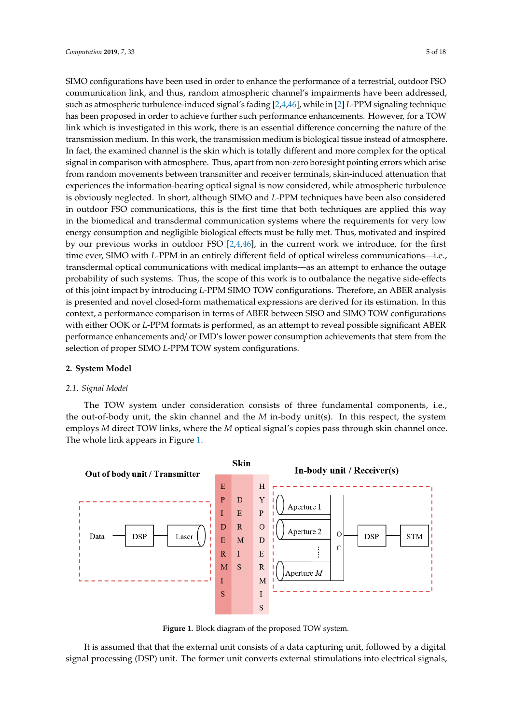SIMO configurations have been used in order to enhance the performance of a terrestrial, outdoor FSO communication link, and thus, random atmospheric channel's impairments have been addressed, such as atmospheric turbulence-induced signal's fading [2,4,46], while in [2] *L*-PPM signaling technique has been proposed in order to achieve further such performance enhancements. However, for a TOW link which is investigated in this work, there is an essential difference concerning the nature of the transmission medium. In this work, the transmission medium is biological tissue instead of atmosphere. In fact, the examined channel is the skin which is totally different and more complex for the optical signal in comparison with atmosphere. Thus, apart from non-zero boresight pointing errors which arise from random movements between transmitter and receiver terminals, skin-induced attenuation that experiences the information-bearing optical signal is now considered, while atmospheric turbulence is obviously neglected. In short, although SIMO and *L*-PPM techniques have been also considered in outdoor FSO communications, this is the first time that both techniques are applied this way in the biomedical and transdermal communication systems where the requirements for very low energy consumption and negligible biological effects must be fully met. Thus, motivated and inspired by our previous works in outdoor FSO [2,4,46], in the current work we introduce, for the first time ever, SIMO with *L*-PPM in an entirely different field of optical wireless communications—i.e., transdermal optical communications with medical implants—as an attempt to enhance the outage probability of such systems. Thus, the scope of this work is to outbalance the negative side-effects of this joint impact by introducing *L*-PPM SIMO TOW configurations. Therefore, an ABER analysis is presented and novel closed-form mathematical expressions are derived for its estimation. In this context, a performance comparison in terms of ABER between SISO and SIMO TOW configurations with either OOK or *L*-PPM formats is performed, as an attempt to reveal possible significant ABER performance enhancements and/ or IMD's lower power consumption achievements that stem from the selection of proper SIMO *L*-PPM TOW system configurations.

#### **2. System Model**

#### *2.1. Signal Model*

The TOW system under consideration consists of three fundamental components, i.e., the out-of-body unit, the skin channel and the *M* in-body unit(s). In this respect, the system employs *M* direct TOW links, where the *M* optical signal's copies pass through skin channel once. The whole link appears in Figure 1.



**Figure 1.** Block diagram of the proposed TOW system.

It is assumed that that the external unit consists of a data capturing unit, followed by a digital signal processing (DSP) unit. The former unit converts external stimulations into electrical signals,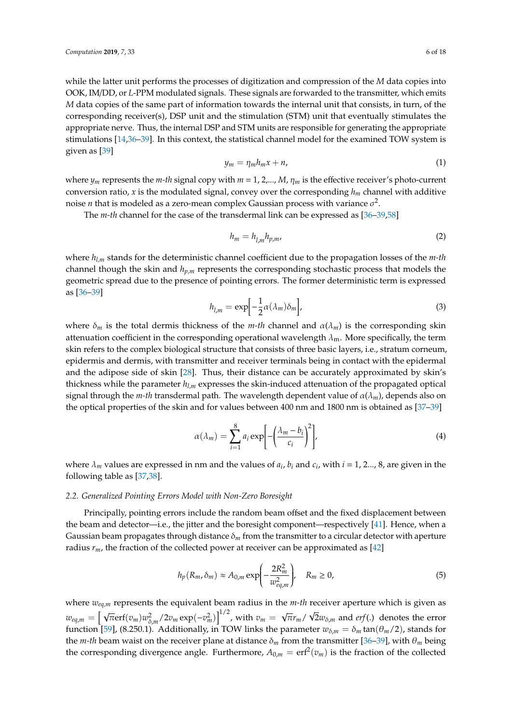while the latter unit performs the processes of digitization and compression of the *M* data copies into OOK, IM/DD, or *L*-PPM modulated signals. These signals are forwarded to the transmitter, which emits *M* data copies of the same part of information towards the internal unit that consists, in turn, of the corresponding receiver(s), DSP unit and the stimulation (STM) unit that eventually stimulates the appropriate nerve. Thus, the internal DSP and STM units are responsible for generating the appropriate stimulations [14,36–39]. In this context, the statistical channel model for the examined TOW system is given as [39]

$$
y_m = \eta_m h_m x + n,\tag{1}
$$

where *y<sup>m</sup>* represents the *m-th* signal copy with *m* = 1, 2,..., *M*, η*<sup>m</sup>* is the effective receiver's photo-current conversion ratio, *x* is the modulated signal, convey over the corresponding *h<sup>m</sup>* channel with additive noise  $n$  that is modeled as a zero-mean complex Gaussian process with variance  $\sigma^2.$ 

The *m-th* channel for the case of the transdermal link can be expressed as [36–39,58]

$$
h_m = h_{l,m} h_{p,m} \tag{2}
$$

where *hl,m* stands for the deterministic channel coefficient due to the propagation losses of the *m-th* channel though the skin and *hp,m* represents the corresponding stochastic process that models the geometric spread due to the presence of pointing errors. The former deterministic term is expressed as [36–39]

$$
h_{l,m} = \exp\left[-\frac{1}{2}\alpha(\lambda_m)\delta_m\right],\tag{3}
$$

where  $\delta_m$  is the total dermis thickness of the *m*-th channel and  $\alpha(\lambda_m)$  is the corresponding skin attenuation coefficient in the corresponding operational wavelength  $\lambda_{m}$ . More specifically, the term skin refers to the complex biological structure that consists of three basic layers, i.e., stratum corneum, epidermis and dermis, with transmitter and receiver terminals being in contact with the epidermal and the adipose side of skin [28]. Thus, their distance can be accurately approximated by skin's thickness while the parameter *hl,m* expresses the skin-induced attenuation of the propagated optical signal through the *m-th* transdermal path. The wavelength dependent value of  $\alpha(\lambda_m)$ , depends also on the optical properties of the skin and for values between 400 nm and 1800 nm is obtained as [37–39]

$$
\alpha(\lambda_m) = \sum_{i=1}^{8} a_i \exp\left[-\left(\frac{\lambda_m - b_i}{c_i}\right)^2\right],\tag{4}
$$

where  $\lambda_m$  values are expressed in nm and the values of  $a_i$ ,  $b_i$  and  $c_i$ , with  $i = 1, 2...$ , 8, are given in the following table as [37,38].

#### *2.2. Generalized Pointing Errors Model with Non-Zero Boresight*

Principally, pointing errors include the random beam offset and the fixed displacement between the beam and detector—i.e., the jitter and the boresight component—respectively [41]. Hence, when a Gaussian beam propagates through distance δ*m* from the transmitter to a circular detector with aperture radius *rm*, the fraction of the collected power at receiver can be approximated as [42]

$$
h_p(R_m, \delta_m) \approx A_{0,m} \exp\left(-\frac{2R_m^2}{w_{eq,m}^2}\right), \quad R_m \ge 0,
$$
\n<sup>(5)</sup>

where *weq,m* represents the equivalent beam radius in the *m-th* receiver aperture which is given as  $w_{eq,m}=\left[\sqrt{\pi}\mathrm{erf}(v_m)w_{\delta,m}^2/2v_m\exp(-v_m^2)\right]^{1/2}$ , with  $v_m=\sqrt{\pi}r_m/\sqrt{2}w_{\delta,m}$  and  $erf(.)$  denotes the error function [59], (8.250.1). Additionally, in TOW links the parameter  $w_{\delta,m} = \delta_m \tan(\theta_m/2)$ , stands for the *m-th* beam waist on the receiver plane at distance  $\delta_m$  from the transmitter [36–39], with  $\theta_m$  being the corresponding divergence angle. Furthermore,  $A_{0,m} = erf^2(v_m)$  is the fraction of the collected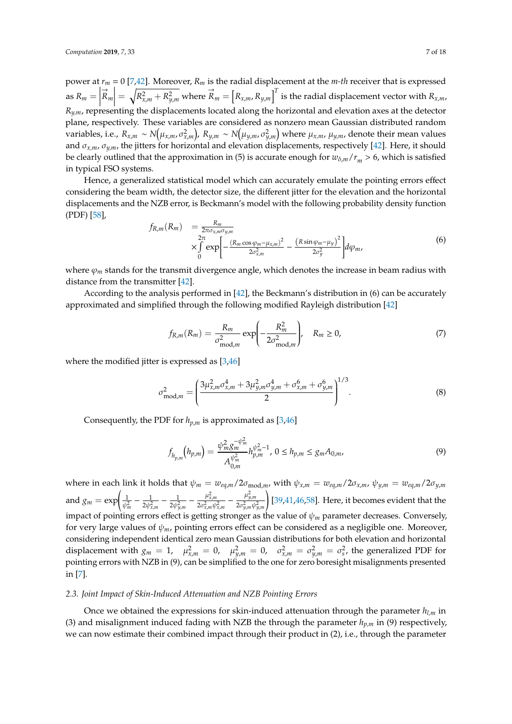power at *r<sup>m</sup>* = 0 [7,42]. Moreover, *R<sup>m</sup>* is the radial displacement at the *m-th* receiver that is expressed as  $R_m =$  $\begin{array}{c} \hline \end{array}$ *R*<sub>*y,m*</sub>, representing the displacements located along the horizontal and elevation axes at the detector → *Rm*  $=\sqrt{R_{x,m}^2+R_{y,m}^2}$  where  $\vec{R}_m = [R_{x,m}, R_{y,m}]^T$  is the radial displacement vector with  $R_{x,m}$ , plane, respectively. These variables are considered as nonzero mean Gaussian distributed random variables, i.e.,  $R_{x,m} \sim N(\mu_{x,m}, \sigma_{x,m}^2)$ ,  $R_{y,m} \sim N(\mu_{y,m}, \sigma_{y,m}^2)$  where  $\mu_{x,m}$ ,  $\mu_{y,m}$ , denote their mean values and  $\sigma_{x,m}$ ,  $\sigma_{y,m}$ , the jitters for horizontal and elevation displacements, respectively [42]. Here, it should be clearly outlined that the approximation in (5) is accurate enough for  $w_{\delta,m}/r_m > 6$ , which is satisfied in typical FSO systems.

Hence, a generalized statistical model which can accurately emulate the pointing errors effect considering the beam width, the detector size, the different jitter for the elevation and the horizontal displacements and the NZB error, is Beckmann's model with the following probability density function (PDF) [58],

$$
f_{R,m}(R_m) = \frac{R_m}{2\pi\sigma_{x,m}\sigma_{y,m}} \times \int_{0}^{2\pi} \exp\left[-\frac{(R_m \cos\varphi_m - \mu_{x,m})^2}{2\sigma_{x,m}^2} - \frac{(R \sin\varphi_m - \mu_y)^2}{2\sigma_y^2}\right] d\varphi_m,
$$
(6)

where  $\varphi_m$  stands for the transmit divergence angle, which denotes the increase in beam radius with distance from the transmitter [42].

According to the analysis performed in [42], the Beckmann's distribution in (6) can be accurately approximated and simplified through the following modified Rayleigh distribution [42]

$$
f_{R,m}(R_m) = \frac{R_m}{\sigma_{\text{mod},m}^2} \exp\left(-\frac{R_m^2}{2\sigma_{\text{mod},m}^2}\right), \quad R_m \ge 0,
$$
 (7)

where the modified jitter is expressed as [3,46]

$$
\sigma_{\text{mod},m}^{2} = \left(\frac{3\mu_{x,m}^{2}\sigma_{x,m}^{4} + 3\mu_{y,m}^{2}\sigma_{y,m}^{4} + \sigma_{x,m}^{6} + \sigma_{y,m}^{6}}{2}\right)^{1/3}.
$$
\n(8)

Consequently, the PDF for  $h_{p,m}$  is approximated as [3,46]

$$
f_{h_{p,m}}(h_{p,m}) = \frac{\psi_m^2 g_m^{-\psi_m^2}}{A_{0,m}^{\psi_m^2}} h_{p,m}^{\psi_m^2 - 1}, \ 0 \le h_{p,m} \le g_m A_{0,m}, \tag{9}
$$

where in each link it holds that  $\psi_m = w_{eq,m}/2\sigma_{mod,m}$ , with  $\psi_{x,m} = w_{eq,m}/2\sigma_{x,m}$ ,  $\psi_{y,m} = w_{eq,m}/2\sigma_{y,m}$ and  $g_m = \exp\left(\frac{1}{\sqrt{b^2}}\right)$  $\frac{1}{\psi_m^2} - \frac{1}{2\psi_s^2}$  $\frac{1}{2\psi_{x,m}^2} - \frac{1}{2\psi_{y}^2}$  $\frac{1}{2\psi_{y,m}^2} - \frac{\mu_{x,m}^2}{2\sigma_{x,m}^2\psi}$  $\frac{1}{2\sigma_{x,m}^2 \psi_{x,m}^2}$  – µ 2 *y*,*m*  $2\sigma_{y,m}^2 \psi_{y,m}^2$ ! [39,41,46,58]. Here, it becomes evident that the impact of pointing errors effect is getting stronger as the value of  $\psi_m$  parameter decreases. Conversely, for very large values of ψ*m*, pointing errors effect can be considered as a negligible one. Moreover, considering independent identical zero mean Gaussian distributions for both elevation and horizontal displacement with  $g_m = 1$ ,  $\mu_{x,m}^2 = 0$ ,  $\mu_{y,m}^2 = 0$ ,  $\sigma_{x,m}^2 = \sigma_{y,m}^2 = \sigma_s^2$ , the generalized PDF for pointing errors with NZB in (9), can be simplified to the one for zero boresight misalignments presented in [7].

#### *2.3. Joint Impact of Skin-Induced Attenuation and NZB Pointing Errors*

Once we obtained the expressions for skin-induced attenuation through the parameter *hl,m* in (3) and misalignment induced fading with NZB the through the parameter *hp,m* in (9) respectively, we can now estimate their combined impact through their product in (2), i.e., through the parameter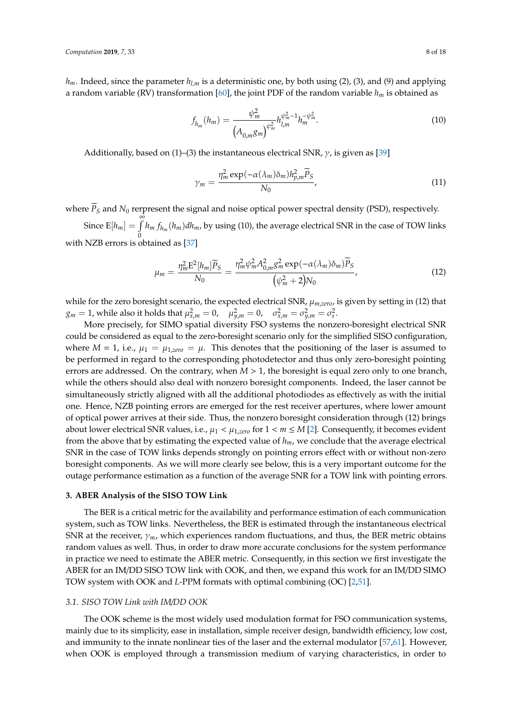*hm*. Indeed, since the parameter *hl,m* is a deterministic one, by both using (2), (3), and (9) and applying a random variable (RV) transformation [60], the joint PDF of the random variable *hm* is obtained as

$$
f_{h_m}(h_m) = \frac{\psi_m^2}{\left(A_{0,m}g_m\right)^{\psi_m^2}h_{l,m}^{\psi_m^2-1}h_m^{-\psi_m^2}}.
$$
\n(10)

Additionally, based on (1)–(3) the instantaneous electrical SNR,  $\gamma$ , is given as [39]

$$
\gamma_m = \frac{\eta_m^2 \exp(-\alpha(\lambda_m)\delta_m) h_{p,m}^2 \overline{P}_S}{N_0},\tag{11}
$$

where  $\widetilde{P}_S$  and  $N_0$  rerpresent the signal and noise optical power spectral density (PSD), respectively.

Since  $E[h_m] = \int_0^\infty$  $\boldsymbol{0}$  $h_m\,f_{h_m}(h_m)$ *dh<sub>m</sub>*, by using (10), the average electrical SNR in the case of TOW links with NZB errors is obtained as [37]

$$
\mu_m = \frac{\eta_m^2 \mathbf{E}^2 [h_m] \widetilde{P}_S}{N_0} = \frac{\eta_m^2 \psi_m^2 A_{0,m}^2 g_m^2 \exp(-\alpha(\lambda_m) \delta_m) \widetilde{P}_S}{(\psi_m^2 + 2) N_0},\tag{12}
$$

while for the zero boresight scenario, the expected electrical SNR, µ*m*,*zero*, is given by setting in (12) that  $g_m = 1$ , while also it holds that  $\mu_{x,m}^2 = 0$ ,  $\quad \mu_{y,m}^2 = 0$ ,  $\quad \sigma_{x,m}^2 = \sigma_{y,m}^2 = \sigma_s^2$ .

More precisely, for SIMO spatial diversity FSO systems the nonzero-boresight electrical SNR could be considered as equal to the zero-boresight scenario only for the simplified SISO configuration, where  $M = 1$ , i.e.,  $\mu_1 = \mu_{1,zero} = \mu$ . This denotes that the positioning of the laser is assumed to be performed in regard to the corresponding photodetector and thus only zero-boresight pointing errors are addressed. On the contrary, when  $M > 1$ , the boresight is equal zero only to one branch, while the others should also deal with nonzero boresight components. Indeed, the laser cannot be simultaneously strictly aligned with all the additional photodiodes as effectively as with the initial one. Hence, NZB pointing errors are emerged for the rest receiver apertures, where lower amount of optical power arrives at their side. Thus, the nonzero boresight consideration through (12) brings about lower electrical SNR values, i.e.,  $\mu_1 < \mu_{1,zero}$  for  $1 < m \le M$  [2]. Consequently, it becomes evident from the above that by estimating the expected value of *hm*, we conclude that the average electrical SNR in the case of TOW links depends strongly on pointing errors effect with or without non-zero boresight components. As we will more clearly see below, this is a very important outcome for the outage performance estimation as a function of the average SNR for a TOW link with pointing errors.

## **3. ABER Analysis of the SISO TOW Link**

The BER is a critical metric for the availability and performance estimation of each communication system, such as TOW links. Nevertheless, the BER is estimated through the instantaneous electrical SNR at the receiver,  $\gamma_m$ , which experiences random fluctuations, and thus, the BER metric obtains random values as well. Thus, in order to draw more accurate conclusions for the system performance in practice we need to estimate the ABER metric. Consequently, in this section we first investigate the ABER for an IM/DD SISO TOW link with OOK, and then, we expand this work for an IM/DD SIMO TOW system with OOK and *L*-PPM formats with optimal combining (OC) [2,51].

## *3.1. SISO TOW Link with IM*/*DD OOK*

The OOK scheme is the most widely used modulation format for FSO communication systems, mainly due to its simplicity, ease in installation, simple receiver design, bandwidth efficiency, low cost, and immunity to the innate nonlinear ties of the laser and the external modulator [57,61]. However, when OOK is employed through a transmission medium of varying characteristics, in order to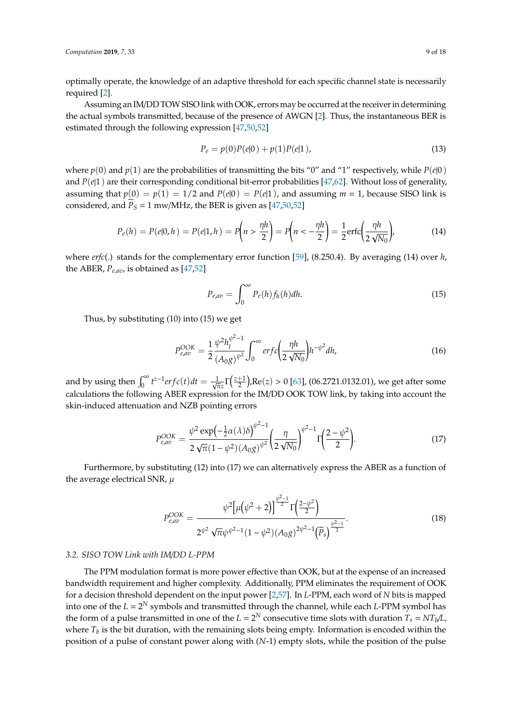optimally operate, the knowledge of an adaptive threshold for each specific channel state is necessarily required [2].

Assuming an IM/DD TOW SISO link with OOK, errors may be occurred at the receiver in determining the actual symbols transmitted, because of the presence of AWGN [2]. Thus, the instantaneous BER is estimated through the following expression [47,50,52]

$$
P_e = p(0)P(e|0) + p(1)P(e|1),
$$
\n(13)

where  $p(0)$  and  $p(1)$  are the probabilities of transmitting the bits "0" and "1" respectively, while  $P(e|0)$ and *P*(*e*|1) are their corresponding conditional bit-error probabilities [47,62]. Without loss of generality, assuming that  $p(0) = p(1) = 1/2$  and  $P(e|0) = P(e|1)$ , and assuming  $m = 1$ , because SISO link is considered, and  $P_S = 1$  mw/MHz, the BER is given as [47,50,52]

$$
P_e(h) = P(e|0, h) = P(e|1, h) = P\left(n > \frac{\eta h}{2}\right) = P\left(n < -\frac{\eta h}{2}\right) = \frac{1}{2}\text{erfc}\left(\frac{\eta h}{2\sqrt{N_0}}\right),\tag{14}
$$

where *erfc*(.) stands for the complementary error function [59], (8.250.4). By averaging (14) over *h*, the ABER, *Pe,av*, is obtained as [47,52]

$$
P_{e,av} = \int_0^\infty P_e(h) f_h(h) dh.
$$
\n(15)

Thus, by substituting (10) into (15) we get

$$
P_{e,av}^{OOK} = \frac{1}{2} \frac{\psi^2 h_l^{\psi^2 - 1}}{(A_0 g)^{\psi^2}} \int_0^\infty erf c \left(\frac{\eta h}{2\sqrt{N_0}}\right) h^{-\psi^2} dh,\tag{16}
$$

and by using then  $\int_0^\infty t^{z-1} e r f c(t) dt = \frac{1}{\sqrt{\pi}z} \Gamma\left(\frac{z+1}{2}\right)$ , Re(*z*) > 0 [63], (06.2721.0132.01), we get after some calculations the following ABER expression for the IM/DD OOK TOW link, by taking into account the skin-induced attenuation and NZB pointing errors

$$
P_{e,av}^{OOK} = \frac{\psi^2 \exp(-\frac{1}{2}\alpha(\lambda)\delta)^{\psi^2 - 1}}{2\sqrt{\pi}(1 - \psi^2)(A_0 g)^{\psi^2}} \left(\frac{\eta}{2\sqrt{N_0}}\right)^{\psi^2 - 1} \Gamma\left(\frac{2 - \psi^2}{2}\right).
$$
 (17)

Furthermore, by substituting (12) into (17) we can alternatively express the ABER as a function of the average electrical SNR,  $\mu$ 

$$
P_{e,av}^{OOK} = \frac{\psi^2 \left[ \mu \left( \psi^2 + 2 \right) \right]^{\frac{\psi^2 - 1}{2}} \Gamma \left( \frac{2 - \psi^2}{2} \right)}{2^{\psi^2} \sqrt{\pi} \psi^{\psi^2 - 1} (1 - \psi^2) (A_0 g)^{2\psi^2 - 1} \left( \overline{P}_s \right)^{\frac{\psi^2 - 1}{2}}}.
$$
\n(18)

#### *3.2. SISO TOW Link with IM*/*DD L-PPM*

The PPM modulation format is more power effective than OOK, but at the expense of an increased bandwidth requirement and higher complexity. Additionally, PPM eliminates the requirement of OOK for a decision threshold dependent on the input power [2,57]. In *L*-PPM, each word of *N* bits is mapped into one of the *L* = 2 *<sup>N</sup>* symbols and transmitted through the channel, while each *L*-PPM symbol has the form of a pulse transmitted in one of the  $L = 2^N$  consecutive time slots with duration  $T_s = NT_b/L$ , where  $T_b$  is the bit duration, with the remaining slots being empty. Information is encoded within the position of a pulse of constant power along with (*N*-1) empty slots, while the position of the pulse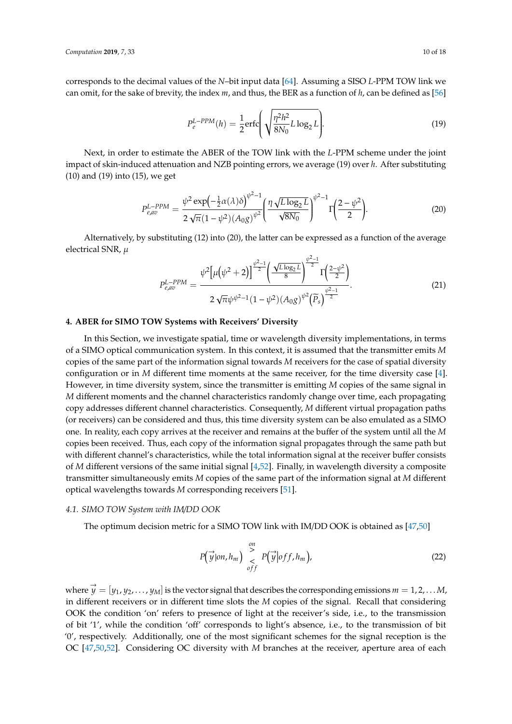corresponds to the decimal values of the *N*–bit input data [64]. Assuming a SISO *L*-PPM TOW link we can omit, for the sake of brevity, the index *m*, and thus, the BER as a function of *h*, can be defined as [56]

$$
P_e^{L-PPM}(h) = \frac{1}{2} \text{erfc} \left( \sqrt{\frac{\eta^2 h^2}{8N_0} L \log_2 L} \right).
$$
 (19)

Next, in order to estimate the ABER of the TOW link with the *L*-PPM scheme under the joint impact of skin-induced attenuation and NZB pointing errors, we average (19) over *h*. After substituting (10) and (19) into (15), we get

$$
P_{e,av}^{L-PPM} = \frac{\psi^2 \exp(-\frac{1}{2}\alpha(\lambda)\delta)^{\psi^2 - 1}}{2\sqrt{\pi}(1 - \psi^2)(A_0 g)^{\psi^2}} \left(\frac{\eta \sqrt{L \log_2 L}}{\sqrt{8N_0}}\right)^{\psi^2 - 1} \Gamma\left(\frac{2 - \psi^2}{2}\right).
$$
 (20)

Alternatively, by substituting (12) into (20), the latter can be expressed as a function of the average electrical SNR,  $\mu$ 

$$
P_{e,av}^{L-PPM} = \frac{\psi^2 \left[ \mu \left( \psi^2 + 2 \right) \right]^{\frac{\psi^2 - 1}{2}} \left( \frac{\sqrt{L \log_2 L}}{8} \right)^{\frac{\psi^2 - 1}{2}} \Gamma \left( \frac{2 - \psi^2}{2} \right)}{2 \sqrt{\pi} \psi^{\psi^2 - 1} (1 - \psi^2) (A_0 g)^{\psi^2} \left( \overline{P}_s \right)^{\frac{\psi^2 - 1}{2}}}.
$$
(21)

#### **4. ABER for SIMO TOW Systems with Receivers' Diversity**

In this Section, we investigate spatial, time or wavelength diversity implementations, in terms of a SIMO optical communication system. In this context, it is assumed that the transmitter emits *M* copies of the same part of the information signal towards *M* receivers for the case of spatial diversity configuration or in *M* different time moments at the same receiver, for the time diversity case [4]. However, in time diversity system, since the transmitter is emitting *M* copies of the same signal in *M* different moments and the channel characteristics randomly change over time, each propagating copy addresses different channel characteristics. Consequently, *M* different virtual propagation paths (or receivers) can be considered and thus, this time diversity system can be also emulated as a SIMO one. In reality, each copy arrives at the receiver and remains at the buffer of the system until all the *M* copies been received. Thus, each copy of the information signal propagates through the same path but with different channel's characteristics, while the total information signal at the receiver buffer consists of *M* different versions of the same initial signal [4,52]. Finally, in wavelength diversity a composite transmitter simultaneously emits *M* copies of the same part of the information signal at *M* different optical wavelengths towards *M* corresponding receivers [51].

#### *4.1. SIMO TOW System with IM*/*DD OOK*

The optimum decision metric for a SIMO TOW link with IM/DD OOK is obtained as [47,50]

$$
P\left(\vec{y}|on,h_m\right) \underset{off}{\overset{on}{\geq}} P\left(\vec{y}|off,h_m\right),\tag{22}
$$

where  $\vec{y} = [y_1, y_2, \dots, y_M]$  is the vector signal that describes the corresponding emissions  $m = 1, 2, \dots M$ , in different receivers or in different time slots the *M* copies of the signal. Recall that considering OOK the condition 'on' refers to presence of light at the receiver's side, i.e., to the transmission of bit '1', while the condition 'off' corresponds to light's absence, i.e., to the transmission of bit '0', respectively. Additionally, one of the most significant schemes for the signal reception is the OC [47,50,52]. Considering OC diversity with *M* branches at the receiver, aperture area of each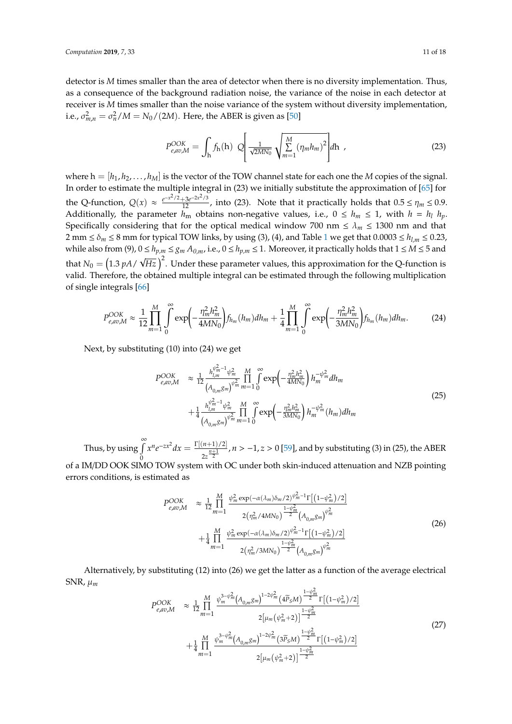detector is *M* times smaller than the area of detector when there is no diversity implementation. Thus, as a consequence of the background radiation noise, the variance of the noise in each detector at receiver is *M* times smaller than the noise variance of the system without diversity implementation, i.e.,  $\sigma_{m,n}^2 = \sigma_n^2/M = N_0/(2M)$ . Here, the ABER is given as [50]

$$
P_{e,av,M}^{OOK} = \int_{h} f_{h}(h) \ Q \left[ \frac{1}{\sqrt{2MN_{0}}} \sqrt{\sum_{m=1}^{M} (\eta_{m} h_{m})^{2}} \right] dh \tag{23}
$$

where  $h = [h_1, h_2, \ldots, h_M]$  is the vector of the TOW channel state for each one the *M* copies of the signal. In order to estimate the multiple integral in (23) we initially substitute the approximation of [65] for the Q-function,  $Q(x) \approx \frac{e^{-x^2/2}+3e^{-2x^2/3}}{12}$ , into (23). Note that it practically holds that  $0.5 \le \eta_m \le 0.9$ . Additionally, the parameter  $h_m$  obtains non-negative values, i.e.,  $0 \le h_m \le 1$ , with  $h = h_l h_p$ . Specifically considering that for the optical medical window 700 nm  $\leq \lambda_m \leq 1300$  nm and that 2 mm  $\leq \delta_m \leq 8$  mm for typical TOW links, by using (3), (4), and Table 1 we get that 0.0003  $\leq h_{l,m} \leq 0.23$ , while also from (9),  $0 \le h_{p,m} \le g_m A_{0,m}$ , i.e.,  $0 \le h_{p,m} \le 1$ . Moreover, it practically holds that  $1 \le M \le 5$  and that  $N_0 = \left(1.3 \, pA/\sqrt{Hz}\, \right)^{\!2}$ . Under these parameter values, this approximation for the Q-function is valid. Therefore, the obtained multiple integral can be estimated through the following multiplication of single integrals [66]

$$
P_{e,av,M}^{OOK} \approx \frac{1}{12} \prod_{m=1}^{M} \int_{0}^{\infty} \exp\left(-\frac{\eta_m^2 h_m^2}{4MN_0}\right) f_{h_m}(h_m) dh_m + \frac{1}{4} \prod_{m=1}^{M} \int_{0}^{\infty} \exp\left(-\frac{\eta_m^2 h_m^2}{3MN_0}\right) f_{h_m}(h_m) dh_m. \tag{24}
$$

Next, by substituting (10) into (24) we get

$$
P_{e,av,M}^{OOK} \approx \frac{1}{12} \frac{h_{l,m}^{\psi_m^2 - 1} \psi_m^2}{(A_{0,m}g_m)^{\psi_m^2}} \prod_{m=1}^M \int_0^\infty \exp\left(-\frac{\eta_m^2 h_m^2}{4MN_0}\right) h_m^{-\psi_m^2} dh_m
$$
  
 
$$
+ \frac{1}{4} \frac{h_{l,m}^{\psi_m^2 - 1} \psi_m^2}{(A_{0,m}g_m)^{\psi_m^2}} \prod_{m=1}^M \int_0^\infty \exp\left(-\frac{\eta_m^2 h_m^2}{3MN_0}\right) h_m^{-\psi_m^2} (h_m) dh_m
$$
 (25)

Thus, by using  $\int_0^\infty$  $\mathbf{0}$  $x^n e^{-zx^2} dx = \frac{\Gamma[(n+1)/2]}{n+1}$  $\frac{n+1}{2}$ ,  $n > -1$ ,  $z > 0$  [59], and by substituting (3) in (25), the ABER  $2z^{\frac{n+1}{2}}$ of a IM/DD OOK SIMO TOW system with OC under both skin-induced attenuation and NZB pointing errors conditions, is estimated as

$$
P_{e,a\upsilon,M}^{\text{OOK}} \approx \frac{1}{12} \prod_{m=1}^{M} \frac{\psi_m^2 \exp(-\alpha(\lambda_m)\delta_m/2)^{\psi_m^2-1} \Gamma[(1-\psi_m^2)/2]}{2(\eta_m^2/4MN_0)^{\frac{1-\psi_m^2}{2}} (A_{0,m}g_m)^{\psi_m^2}} + \frac{1}{4} \prod_{m=1}^{M} \frac{\psi_m^2 \exp(-\alpha(\lambda_m)\delta_m/2)^{\psi_m^2-1} \Gamma[(1-\psi_m^2)/2]}{2(\eta_m^2/3MN_0)^{\frac{1-\psi_m^2}{2}} (A_{0,m}g_m)^{\psi_m^2}}
$$
(26)

Alternatively, by substituting (12) into (26) we get the latter as a function of the average electrical SNR,  $\mu_m$ 

$$
P_{e,a\upsilon,M}^{\text{OOK}} \approx \frac{1}{12} \prod_{m=1}^{M} \frac{\psi_m^{3-\psi_m^2} (A_{0,m} g_m)^{1-2\psi_m^2} (4\widetilde{P}_s M)^{\frac{1-\psi_m^2}{2}} \Gamma[(1-\psi_m^2)/2]}{2[\mu_m(\psi_m^2+2)]^{\frac{1-\psi_m^2}{2}}}
$$
  
+
$$
\frac{1}{4} \prod_{m=1}^{M} \frac{\psi_m^{3-\psi_m^2} (A_{0,m} g_m)^{1-2\psi_m^2} (3\widetilde{P}_s M)^{\frac{1-\psi_m^2}{2}} \Gamma[(1-\psi_m^2)/2]}{2[\mu_m(\psi_m^2+2)]^{\frac{1-\psi_m^2}{2}}}
$$
(27)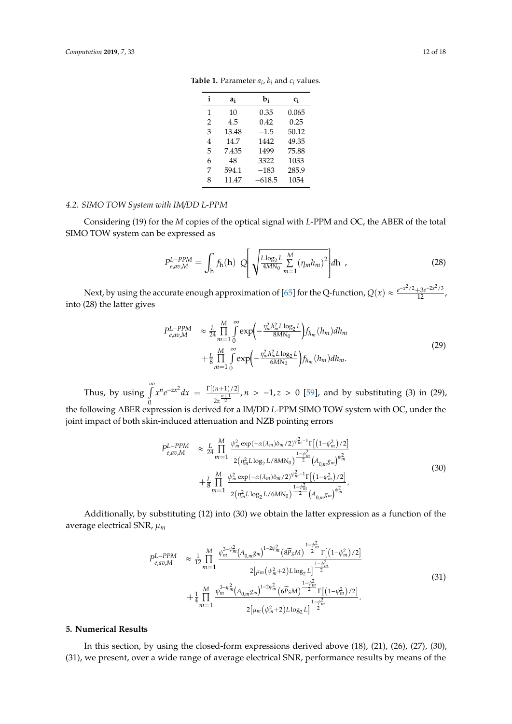| i | ai    | bi       | Ci    |
|---|-------|----------|-------|
| 1 | 10    | 0.35     | 0.065 |
| 2 | 4.5   | 0.42     | 0.25  |
| 3 | 13.48 | $-1.5$   | 50.12 |
| 4 | 14.7  | 1442     | 49.35 |
| 5 | 7.435 | 1499     | 75.88 |
| 6 | 48    | 3322     | 1033  |
| 7 | 594.1 | $-183$   | 285.9 |
| 8 | 11.47 | $-618.5$ | 1054  |

**Table 1.** Parameter *a<sup>i</sup>* , *b<sup>i</sup>* and *c<sup>i</sup>* values.

# *4.2. SIMO TOW System with IM*/*DD L-PPM*

Considering (19) for the *M* copies of the optical signal with *L*-PPM and OC, the ABER of the total SIMO TOW system can be expressed as

$$
P_{e,av,M}^{L-PPM} = \int_{h} f_h(h) \ Q \left[ \sqrt{\frac{L \log_2 L}{4M N_0}} \sum_{m=1}^{M} (\eta_m h_m)^2 \right] dh \tag{28}
$$

Next, by using the accurate enough approximation of [65] for the Q-function,  $Q(x) \approx \frac{e^{-x^2/2}+3e^{-2x^2/3}}{12}$ into (28) the latter gives

$$
P_{e,av,M}^{L-PPM} \approx \frac{L}{24} \prod_{m=1}^{M} \int_{0}^{\infty} \exp\left(-\frac{\eta_m^2 h_m^2 L \log_2 L}{8M N_0}\right) f_{h_m}(h_m) dh_m + \frac{L}{8} \prod_{m=1}^{M} \int_{0}^{\infty} \exp\left(-\frac{\eta_m^2 h_m^2 L \log_2 L}{6M N_0}\right) f_{h_m}(h_m) dh_m.
$$
\n(29)

Thus, by using  $\int_0^\infty$  $\boldsymbol{0}$  $x^n e^{-zx^2} dx = \frac{\Gamma[(n+1)/2]}{n+1}$  $\frac{2a^{n+1/2}}{2z^{\frac{n+1}{2}}}$ ,  $n > -1$ ,  $z > 0$  [59], and by substituting (3) in (29), the following ABER expression is derived for a IM/DD *L*-PPM SIMO TOW system with OC, under the

joint impact of both skin-induced attenuation and NZB pointing errors

$$
P_{e,a\upsilon,M}^{L-PPM} \approx \frac{L}{24} \prod_{m=1}^{M} \frac{\psi_m^2 \exp(-\alpha(\lambda_m)\delta_m/2)^{\psi_m^2 - 1} \Gamma[(1-\psi_m^2)/2]}{2(\eta_m^2 L \log_2 L/8MN_0)^{\frac{1-\psi_m^2}{2}} (A_{0,m}g_m)^{\psi_m^2}} + \frac{L}{8} \prod_{m=1}^{M} \frac{\psi_m^2 \exp(-\alpha(\lambda_m)\delta_m/2)^{\psi_m^2 - 1} \Gamma[(1-\psi_m^2)/2]}{2(\eta_m^2 L \log_2 L/6MN_0)^{\frac{1-\psi_m^2}{2}} (A_{0,m}g_m)^{\psi_m^2}}.
$$
\n(30)

Additionally, by substituting (12) into (30) we obtain the latter expression as a function of the average electrical SNR, µ*m*

$$
P_{e,av,M}^{L-PPM} \approx \frac{1}{12} \prod_{m=1}^{M} \frac{\psi_m^{3-\psi_m^2} (A_{0,m}g_m)^{1-2\psi_m^2} (8\bar{P}_sM)^{\frac{1-\psi_m^2}{2}} \Gamma[(1-\psi_m^2)/2]}{2[\mu_m(\psi_m^2+2)L \log_2 L]^{\frac{1-\psi_m^2}{2}}}
$$
  
+
$$
\frac{1}{4} \prod_{m=1}^{M} \frac{\psi_m^{3-\psi_m^2} (A_{0,m}g_m)^{1-2\psi_m^2} (6\bar{P}_sM)^{\frac{1-\psi_m^2}{2}} \Gamma[(1-\psi_m^2)/2]}{2[\mu_m(\psi_m^2+2)L \log_2 L]^{\frac{1-\psi_m^2}{2}}}.
$$
(31)

#### **5. Numerical Results**

In this section, by using the closed-form expressions derived above (18), (21), (26), (27), (30), (31), we present, over a wide range of average electrical SNR, performance results by means of the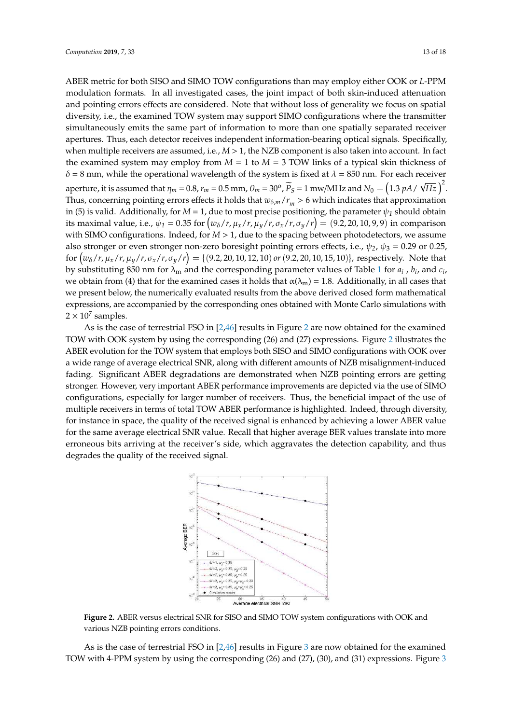ABER metric for both SISO and SIMO TOW configurations than may employ either OOK or *L*-PPM modulation formats. In all investigated cases, the joint impact of both skin-induced attenuation and pointing errors effects are considered. Note that without loss of generality we focus on spatial diversity, i.e., the examined TOW system may support SIMO configurations where the transmitter simultaneously emits the same part of information to more than one spatially separated receiver apertures. Thus, each detector receives independent information-bearing optical signals. Specifically, when multiple receivers are assumed, i.e.,  $M > 1$ , the NZB component is also taken into account. In fact the examined system may employ from  $M = 1$  to  $M = 3$  TOW links of a typical skin thickness of  $\delta$  = 8 mm, while the operational wavelength of the system is fixed at  $\lambda$  = 850 nm. For each receiver aperture, it is assumed that  $\eta_m = 0.8$ ,  $r_m = 0.5$  mm,  $\theta_m = 30^\circ$ ,  $\widetilde{P}_S = 1$  mw/MHz and  $N_0 = \left(1.3 \ pA/\sqrt{Hz}\right)^2$ . Thus, concerning pointing errors effects it holds that  $w_{\delta,m}/r_m > 6$  which indicates that approximation in (5) is valid. Additionally, for  $M = 1$ , due to most precise positioning, the parameter  $\psi_1$  should obtain its maximal value, i.e.,  $\psi_1 = 0.35$  for  $(w_\delta/r, \mu_x/r, \mu_y/r, \sigma_x/r, \sigma_y/r) = (9.2, 20, 10, 9, 9)$  in comparison with SIMO configurations. Indeed, for  $M > 1$ , due to the spacing between photodetectors, we assume also stronger or even stronger non-zero boresight pointing errors effects, i.e.,  $\psi_2$ ,  $\psi_3 = 0.29$  or 0.25,  $\text{for } (w_\delta/r, \mu_x/r, \mu_y/r, \sigma_x/r, \sigma_y/r) = \{(9.2, 20, 10, 12, 10) \text{ or } (9.2, 20, 10, 15, 10)\},$  respectively. Note that by substituting 850 nm for  $\lambda_m$  and the corresponding parameter values of Table 1 for  $a_i$ ,  $b_i$ , and  $c_i$ , we obtain from (4) that for the examined cases it holds that  $\alpha(\lambda_m) = 1.8$ . Additionally, in all cases that we present below, the numerically evaluated results from the above derived closed form mathematical expressions, are accompanied by the corresponding ones obtained with Monte Carlo simulations with expressions, are accompanied by the corresponding ones obtained with Monte Carlo simulations with  $2 \times 10^7$  samples.

As is the case of terrestrial FSO in [2,46] results in Figure 2 are now obtained for the examined TOW with OOK system by using the corresponding (26) and (27) expressions. Figure 2 illustrates the ABER evolution for the TOW system that employs both SISO and SIMO configurations with OOK over a wide range of average electrical SNR, along with different amounts of NZB misalignment-induced fading. Significant ABER degradations are demonstrated when NZB pointing errors are getting stronger. However, very important ABER performance improvements are depicted via the use of SIMO configurations, especially for larger number of receivers. Thus, the beneficial impact of the use of multiple receivers in terms of total TOW ABER performance is highlighted. Indeed, through diversity, for instance in space, the quality of the received signal is enhanced by achieving a lower ABER value for the same average electrical SNR value. Recall that higher average BER values translate into more erroneous bits arriving at the receiver's side, which aggravates the detection capability, and thus degrades the quality of the received signal.



**Figure 2.** ABER versus electrical SNR for SISO and SIMO TOW system configurations with OOK and various NZB pointing errors conditions.

As is the case of terrestrial FSO in [2,46] results in Figure 3 are now obtained for the examined TOW with 4-PPM system by using the corresponding (26) and (27), (30), and (31) expressions. Figure 3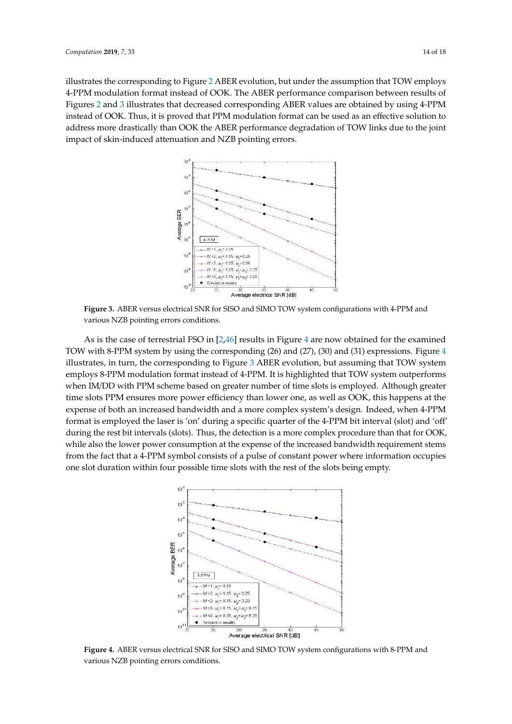illustrates the corresponding to Figure 2 ABER evolution, but under the assumption that TOW employs 4-PPM modulation format instead of OOK. The ABER performance comparison between results of Figures 2 and 3 illustrates that decreased corresponding ABER values are obtained by using 4-PPM instead of OOK. Thus, it is proved that PPM modulation format can be used as an effective solution to address more drastically than OOK the ABER performance degradation of TOW links due to the joint impact of skin-induced attenuation and NZB pointing errors.



**Figure 3.** ABER versus electrical SNR for SISO and SIMO TOW system configurations with 4-PPM and various NZB pointing errors conditions.

As is the case of terrestrial FSO in [2,46] results in Figure 4 are now obtained for the examined TOW with 8-PPM system by using the corresponding (26) and (27), (30) and (31) expressions. Figure 4 illustrates, in turn, the corresponding to Figure 3 ABER evolution, but assuming that TOW system employs 8-PPM modulation format instead of 4-PPM. It is highlighted that TOW system outperforms when IM/DD with PPM scheme based on greater number of time slots is employed. Although greater time slots PPM ensures more power efficiency than lower one, as well as OOK, this happens at the expense of both an increased bandwidth and a more complex system's design. Indeed, when 4-PPM format is employed the laser is 'on' during a specific quarter of the 4-PPM bit interval (slot) and 'off' during the rest bit intervals (slots). Thus, the detection is a more complex procedure than that for OOK, while also the lower power consumption at the expense of the increased bandwidth requirement stems from the fact that a 4-PPM symbol consists of a pulse of constant power where information occupies one slot duration within four possible time slots with the rest of the slots being empty.



**Figure 4.** ABER versus electrical SNR for SISO and SIMO TOW system configurations with 8-PPM and various NZB pointing errors conditions.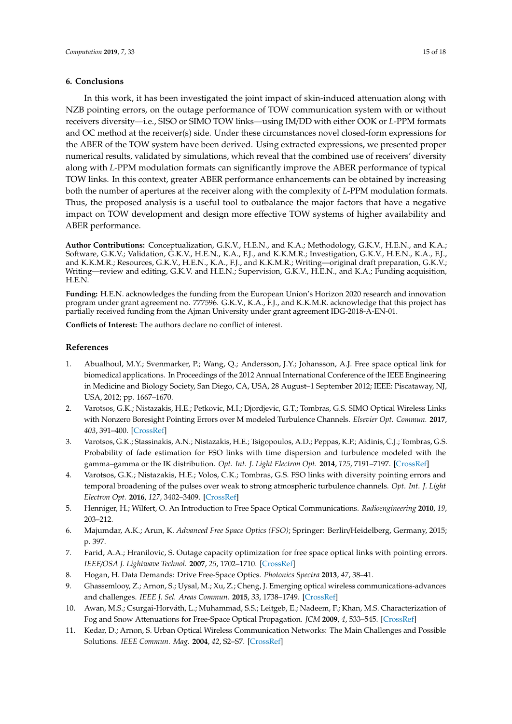## **6. Conclusions**

In this work, it has been investigated the joint impact of skin-induced attenuation along with NZB pointing errors, on the outage performance of TOW communication system with or without receivers diversity—i.e., SISO or SIMO TOW links—using IM/DD with either OOK or *L*-PPM formats and OC method at the receiver(s) side. Under these circumstances novel closed-form expressions for the ABER of the TOW system have been derived. Using extracted expressions, we presented proper numerical results, validated by simulations, which reveal that the combined use of receivers' diversity along with *L*-PPM modulation formats can significantly improve the ABER performance of typical TOW links. In this context, greater ABER performance enhancements can be obtained by increasing both the number of apertures at the receiver along with the complexity of *L*-PPM modulation formats. Thus, the proposed analysis is a useful tool to outbalance the major factors that have a negative impact on TOW development and design more effective TOW systems of higher availability and ABER performance.

**Author Contributions:** Conceptualization, G.K.V., H.E.N., and K.A.; Methodology, G.K.V., H.E.N., and K.A.; Software, G.K.V.; Validation, G.K.V., H.E.N., K.A., F.J., and K.K.M.R.; Investigation, G.K.V., H.E.N., K.A., F.J., and K.K.M.R.; Resources, G.K.V., H.E.N., K.A., F.J., and K.K.M.R.; Writing—original draft preparation, G.K.V.; Writing—review and editing, G.K.V. and H.E.N.; Supervision, G.K.V., H.E.N., and K.A.; Funding acquisition, H.E.N.

**Funding:** H.E.N. acknowledges the funding from the European Union's Horizon 2020 research and innovation program under grant agreement no. 777596. G.K.V., K.A., F.J., and K.K.M.R. acknowledge that this project has partially received funding from the Ajman University under grant agreement IDG-2018-A-EN-01.

**Conflicts of Interest:** The authors declare no conflict of interest.

#### **References**

- 1. Abualhoul, M.Y.; Svenmarker, P.; Wang, Q.; Andersson, J.Y.; Johansson, A.J. Free space optical link for biomedical applications. In Proceedings of the 2012 Annual International Conference of the IEEE Engineering in Medicine and Biology Society, San Diego, CA, USA, 28 August–1 September 2012; IEEE: Piscataway, NJ, USA, 2012; pp. 1667–1670.
- 2. Varotsos, G.K.; Nistazakis, H.E.; Petkovic, M.I.; Djordjevic, G.T.; Tombras, G.S. SIMO Optical Wireless Links with Nonzero Boresight Pointing Errors over M modeled Turbulence Channels. *Elsevier Opt. Commun.* **2017**, *403*, 391–400. [CrossRef]
- 3. Varotsos, G.K.; Stassinakis, A.N.; Nistazakis, H.E.; Tsigopoulos, A.D.; Peppas, K.P.; Aidinis, C.J.; Tombras, G.S. Probability of fade estimation for FSO links with time dispersion and turbulence modeled with the gamma–gamma or the IK distribution. *Opt. Int. J. Light Electron Opt.* **2014**, *125*, 7191–7197. [CrossRef]
- 4. Varotsos, G.K.; Nistazakis, H.E.; Volos, C.K.; Tombras, G.S. FSO links with diversity pointing errors and temporal broadening of the pulses over weak to strong atmospheric turbulence channels. *Opt. Int. J. Light Electron Opt.* **2016**, *127*, 3402–3409. [CrossRef]
- 5. Henniger, H.; Wilfert, O. An Introduction to Free Space Optical Communications. *Radioengineering* **2010**, *19*, 203–212.
- 6. Majumdar, A.K.; Arun, K. *Advanced Free Space Optics (FSO)*; Springer: Berlin/Heidelberg, Germany, 2015; p. 397.
- 7. Farid, A.A.; Hranilovic, S. Outage capacity optimization for free space optical links with pointing errors. *IEEE*/*OSA J. Lightwave Technol.* **2007**, *25*, 1702–1710. [CrossRef]
- 8. Hogan, H. Data Demands: Drive Free-Space Optics. *Photonics Spectra* **2013**, *47*, 38–41.
- 9. Ghassemlooy, Z.; Arnon, S.; Uysal, M.; Xu, Z.; Cheng, J. Emerging optical wireless communications-advances and challenges. *IEEE J. Sel. Areas Commun.* **2015**, *33*, 1738–1749. [CrossRef]
- 10. Awan, M.S.; Csurgai-Horváth, L.; Muhammad, S.S.; Leitgeb, E.; Nadeem, F.; Khan, M.S. Characterization of Fog and Snow Attenuations for Free-Space Optical Propagation. *JCM* **2009**, *4*, 533–545. [CrossRef]
- 11. Kedar, D.; Arnon, S. Urban Optical Wireless Communication Networks: The Main Challenges and Possible Solutions. *IEEE Commun. Mag.* **2004**, *42*, S2–S7. [CrossRef]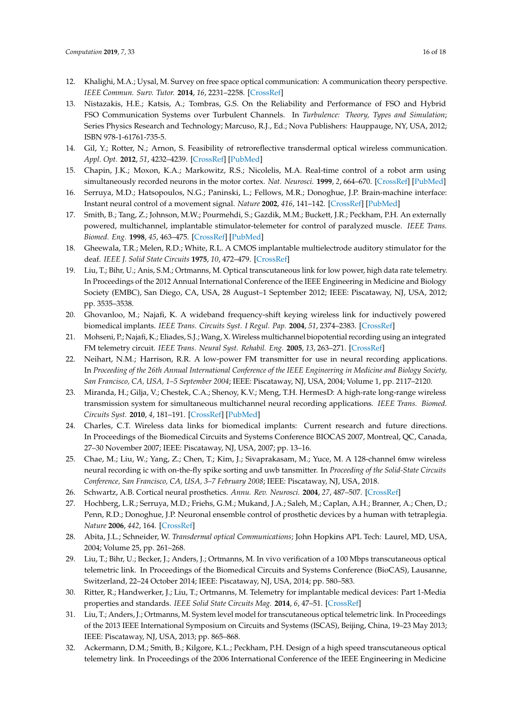- 12. Khalighi, M.A.; Uysal, M. Survey on free space optical communication: A communication theory perspective. *IEEE Commun. Surv. Tutor.* **2014**, *16*, 2231–2258. [CrossRef]
- 13. Nistazakis, H.E.; Katsis, A.; Tombras, G.S. On the Reliability and Performance of FSO and Hybrid FSO Communication Systems over Turbulent Channels. In *Turbulence: Theory, Types and Simulation*; Series Physics Research and Technology; Marcuso, R.J., Ed.; Nova Publishers: Hauppauge, NY, USA, 2012; ISBN 978-1-61761-735-5.
- 14. Gil, Y.; Rotter, N.; Arnon, S. Feasibility of retroreflective transdermal optical wireless communication. *Appl. Opt.* **2012**, *51*, 4232–4239. [CrossRef] [PubMed]
- 15. Chapin, J.K.; Moxon, K.A.; Markowitz, R.S.; Nicolelis, M.A. Real-time control of a robot arm using simultaneously recorded neurons in the motor cortex. *Nat. Neurosci.* **1999**, *2*, 664–670. [CrossRef] [PubMed]
- 16. Serruya, M.D.; Hatsopoulos, N.G.; Paninski, L.; Fellows, M.R.; Donoghue, J.P. Brain-machine interface: Instant neural control of a movement signal. *Nature* **2002**, *416*, 141–142. [CrossRef] [PubMed]
- 17. Smith, B.; Tang, Z.; Johnson, M.W.; Pourmehdi, S.; Gazdik, M.M.; Buckett, J.R.; Peckham, P.H. An externally powered, multichannel, implantable stimulator-telemeter for control of paralyzed muscle. *IEEE Trans. Biomed. Eng.* **1998**, *45*, 463–475. [CrossRef] [PubMed]
- 18. Gheewala, T.R.; Melen, R.D.; White, R.L. A CMOS implantable multielectrode auditory stimulator for the deaf. *IEEE J. Solid State Circuits* **1975**, *10*, 472–479. [CrossRef]
- 19. Liu, T.; Bihr, U.; Anis, S.M.; Ortmanns, M. Optical transcutaneous link for low power, high data rate telemetry. In Proceedings of the 2012 Annual International Conference of the IEEE Engineering in Medicine and Biology Society (EMBC), San Diego, CA, USA, 28 August–1 September 2012; IEEE: Piscataway, NJ, USA, 2012; pp. 3535–3538.
- 20. Ghovanloo, M.; Najafi, K. A wideband frequency-shift keying wireless link for inductively powered biomedical implants. *IEEE Trans. Circuits Syst. I Regul. Pap.* **2004**, *51*, 2374–2383. [CrossRef]
- 21. Mohseni, P.; Najafi, K.; Eliades, S.J.; Wang, X. Wireless multichannel biopotential recording using an integrated FM telemetry circuit. *IEEE Trans. Neural Syst. Rehabil. Eng.* **2005**, *13*, 263–271. [CrossRef]
- 22. Neihart, N.M.; Harrison, R.R. A low-power FM transmitter for use in neural recording applications. In *Proceeding of the 26th Annual International Conference of the IEEE Engineering in Medicine and Biology Society, San Francisco, CA, USA, 1–5 September 2004*; IEEE: Piscataway, NJ, USA, 2004; Volume 1, pp. 2117–2120.
- 23. Miranda, H.; Gilja, V.; Chestek, C.A.; Shenoy, K.V.; Meng, T.H. HermesD: A high-rate long-range wireless transmission system for simultaneous multichannel neural recording applications. *IEEE Trans. Biomed. Circuits Syst.* **2010**, *4*, 181–191. [CrossRef] [PubMed]
- 24. Charles, C.T. Wireless data links for biomedical implants: Current research and future directions. In Proceedings of the Biomedical Circuits and Systems Conference BIOCAS 2007, Montreal, QC, Canada, 27–30 November 2007; IEEE: Piscataway, NJ, USA, 2007; pp. 13–16.
- 25. Chae, M.; Liu, W.; Yang, Z.; Chen, T.; Kim, J.; Sivaprakasam, M.; Yuce, M. A 128-channel 6mw wireless neural recording ic with on-the-fly spike sorting and uwb tansmitter. In *Proceeding of the Solid-State Circuits Conference, San Francisco, CA, USA, 3–7 February 2008*; IEEE: Piscataway, NJ, USA, 2018.
- 26. Schwartz, A.B. Cortical neural prosthetics. *Annu. Rev. Neurosci.* **2004**, *27*, 487–507. [CrossRef]
- 27. Hochberg, L.R.; Serruya, M.D.; Friehs, G.M.; Mukand, J.A.; Saleh, M.; Caplan, A.H.; Branner, A.; Chen, D.; Penn, R.D.; Donoghue, J.P. Neuronal ensemble control of prosthetic devices by a human with tetraplegia. *Nature* **2006**, *442*, 164. [CrossRef]
- 28. Abita, J.L.; Schneider, W. *Transdermal optical Communications*; John Hopkins APL Tech: Laurel, MD, USA, 2004; Volume 25, pp. 261–268.
- 29. Liu, T.; Bihr, U.; Becker, J.; Anders, J.; Ortmanns, M. In vivo verification of a 100 Mbps transcutaneous optical telemetric link. In Proceedings of the Biomedical Circuits and Systems Conference (BioCAS), Lausanne, Switzerland, 22–24 October 2014; IEEE: Piscataway, NJ, USA, 2014; pp. 580–583.
- 30. Ritter, R.; Handwerker, J.; Liu, T.; Ortmanns, M. Telemetry for implantable medical devices: Part 1-Media properties and standards. *IEEE Solid State Circuits Mag.* **2014**, *6*, 47–51. [CrossRef]
- 31. Liu, T.; Anders, J.; Ortmanns, M. System level model for transcutaneous optical telemetric link. In Proceedings of the 2013 IEEE International Symposium on Circuits and Systems (ISCAS), Beijing, China, 19–23 May 2013; IEEE: Piscataway, NJ, USA, 2013; pp. 865–868.
- 32. Ackermann, D.M.; Smith, B.; Kilgore, K.L.; Peckham, P.H. Design of a high speed transcutaneous optical telemetry link. In Proceedings of the 2006 International Conference of the IEEE Engineering in Medicine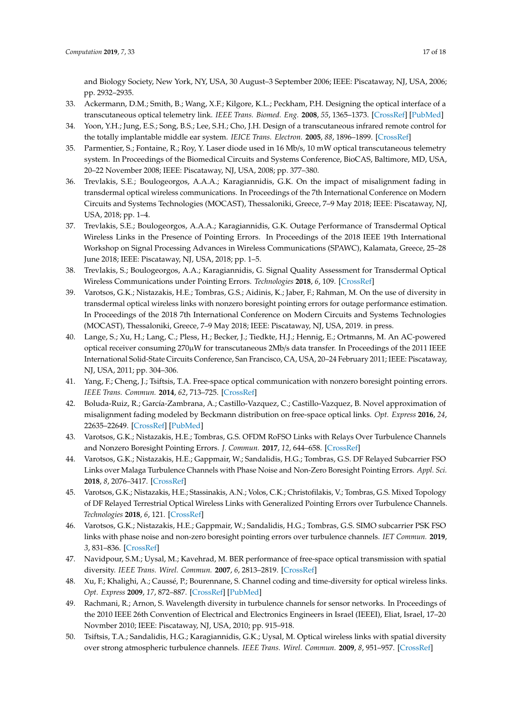and Biology Society, New York, NY, USA, 30 August–3 September 2006; IEEE: Piscataway, NJ, USA, 2006; pp. 2932–2935.

- 33. Ackermann, D.M.; Smith, B.; Wang, X.F.; Kilgore, K.L.; Peckham, P.H. Designing the optical interface of a transcutaneous optical telemetry link. *IEEE Trans. Biomed. Eng.* **2008**, *55*, 1365–1373. [CrossRef] [PubMed]
- 34. Yoon, Y.H.; Jung, E.S.; Song, B.S.; Lee, S.H.; Cho, J.H. Design of a transcutaneous infrared remote control for the totally implantable middle ear system. *IEICE Trans. Electron.* **2005**, *88*, 1896–1899. [CrossRef]
- 35. Parmentier, S.; Fontaine, R.; Roy, Y. Laser diode used in 16 Mb/s, 10 mW optical transcutaneous telemetry system. In Proceedings of the Biomedical Circuits and Systems Conference, BioCAS, Baltimore, MD, USA, 20–22 November 2008; IEEE: Piscataway, NJ, USA, 2008; pp. 377–380.
- 36. Trevlakis, S.E.; Boulogeorgos, A.A.A.; Karagiannidis, G.K. On the impact of misalignment fading in transdermal optical wireless communications. In Proceedings of the 7th International Conference on Modern Circuits and Systems Technologies (MOCAST), Thessaloniki, Greece, 7–9 May 2018; IEEE: Piscataway, NJ, USA, 2018; pp. 1–4.
- 37. Trevlakis, S.E.; Boulogeorgos, A.A.A.; Karagiannidis, G.K. Outage Performance of Transdermal Optical Wireless Links in the Presence of Pointing Errors. In Proceedings of the 2018 IEEE 19th International Workshop on Signal Processing Advances in Wireless Communications (SPAWC), Kalamata, Greece, 25–28 June 2018; IEEE: Piscataway, NJ, USA, 2018; pp. 1–5.
- 38. Trevlakis, S.; Boulogeorgos, A.A.; Karagiannidis, G. Signal Quality Assessment for Transdermal Optical Wireless Communications under Pointing Errors. *Technologies* **2018**, *6*, 109. [CrossRef]
- 39. Varotsos, G.K.; Nistazakis, H.E.; Tombras, G.S.; Aidinis, K.; Jaber, F.; Rahman, M. On the use of diversity in transdermal optical wireless links with nonzero boresight pointing errors for outage performance estimation. In Proceedings of the 2018 7th International Conference on Modern Circuits and Systems Technologies (MOCAST), Thessaloniki, Greece, 7–9 May 2018; IEEE: Piscataway, NJ, USA, 2019. in press.
- 40. Lange, S.; Xu, H.; Lang, C.; Pless, H.; Becker, J.; Tiedkte, H.J.; Hennig, E.; Ortmanns, M. An AC-powered optical receiver consuming 270µW for transcutaneous 2Mb/s data transfer. In Proceedings of the 2011 IEEE International Solid-State Circuits Conference, San Francisco, CA, USA, 20–24 February 2011; IEEE: Piscataway, NJ, USA, 2011; pp. 304–306.
- 41. Yang, F.; Cheng, J.; Tsiftsis, T.A. Free-space optical communication with nonzero boresight pointing errors. *IEEE Trans. Commun.* **2014**, *62*, 713–725. [CrossRef]
- 42. Boluda-Ruiz, R.; García-Zambrana, A.; Castillo-Vazquez, C.; Castillo-Vazquez, B. Novel approximation of misalignment fading modeled by Beckmann distribution on free-space optical links. *Opt. Express* **2016**, *24*, 22635–22649. [CrossRef] [PubMed]
- 43. Varotsos, G.K.; Nistazakis, H.E.; Tombras, G.S. OFDM RoFSO Links with Relays Over Turbulence Channels and Nonzero Boresight Pointing Errors. *J. Commun.* **2017**, *12*, 644–658. [CrossRef]
- 44. Varotsos, G.K.; Nistazakis, H.E.; Gappmair, W.; Sandalidis, H.G.; Tombras, G.S. DF Relayed Subcarrier FSO Links over Malaga Turbulence Channels with Phase Noise and Non-Zero Boresight Pointing Errors. *Appl. Sci.* **2018**, *8*, 2076–3417. [CrossRef]
- 45. Varotsos, G.K.; Nistazakis, H.E.; Stassinakis, A.N.; Volos, C.K.; Christofilakis, V.; Tombras, G.S. Mixed Topology of DF Relayed Terrestrial Optical Wireless Links with Generalized Pointing Errors over Turbulence Channels. *Technologies* **2018**, *6*, 121. [CrossRef]
- 46. Varotsos, G.K.; Nistazakis, H.E.; Gappmair, W.; Sandalidis, H.G.; Tombras, G.S. SIMO subcarrier PSK FSO links with phase noise and non-zero boresight pointing errors over turbulence channels. *IET Commun.* **2019**, *3*, 831–836. [CrossRef]
- 47. Navidpour, S.M.; Uysal, M.; Kavehrad, M. BER performance of free-space optical transmission with spatial diversity. *IEEE Trans. Wirel. Commun.* **2007**, *6*, 2813–2819. [CrossRef]
- 48. Xu, F.; Khalighi, A.; Caussé, P.; Bourennane, S. Channel coding and time-diversity for optical wireless links. *Opt. Express* **2009**, *17*, 872–887. [CrossRef] [PubMed]
- 49. Rachmani, R.; Arnon, S. Wavelength diversity in turbulence channels for sensor networks. In Proceedings of the 2010 IEEE 26th Convention of Electrical and Electronics Engineers in Israel (IEEEI), Eliat, Israel, 17–20 Novmber 2010; IEEE: Piscataway, NJ, USA, 2010; pp. 915–918.
- 50. Tsiftsis, T.A.; Sandalidis, H.G.; Karagiannidis, G.K.; Uysal, M. Optical wireless links with spatial diversity over strong atmospheric turbulence channels. *IEEE Trans. Wirel. Commun.* **2009**, *8*, 951–957. [CrossRef]